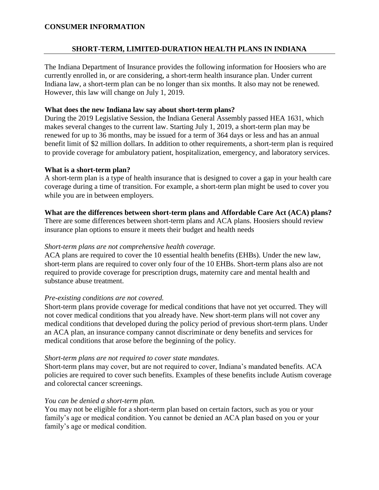## **CONSUMER INFORMATION**

# **SHORT-TERM, LIMITED-DURATION HEALTH PLANS IN INDIANA**

The Indiana Department of Insurance provides the following information for Hoosiers who are currently enrolled in, or are considering, a short-term health insurance plan. Under current Indiana law, a short-term plan can be no longer than six months. It also may not be renewed. However, this law will change on July 1, 2019.

#### **What does the new Indiana law say about short-term plans?**

During the 2019 Legislative Session, the Indiana General Assembly passed HEA 1631, which makes several changes to the current law. Starting July 1, 2019, a short-term plan may be renewed for up to 36 months, may be issued for a term of 364 days or less and has an annual benefit limit of \$2 million dollars. In addition to other requirements, a short-term plan is required to provide coverage for ambulatory patient, hospitalization, emergency, and laboratory services.

#### **What is a short-term plan?**

A short-term plan is a type of health insurance that is designed to cover a gap in your health care coverage during a time of transition. For example, a short-term plan might be used to cover you while you are in between employers.

#### **What are the differences between short-term plans and Affordable Care Act (ACA) plans?**

There are some differences between short-term plans and ACA plans. Hoosiers should review insurance plan options to ensure it meets their budget and health needs

#### *Short-term plans are not comprehensive health coverage.*

ACA plans are required to cover the 10 essential health benefits (EHBs). Under the new law, short-term plans are required to cover only four of the 10 EHBs. Short-term plans also are not required to provide coverage for prescription drugs, maternity care and mental health and substance abuse treatment.

#### *Pre-existing conditions are not covered.*

Short-term plans provide coverage for medical conditions that have not yet occurred. They will not cover medical conditions that you already have. New short-term plans will not cover any medical conditions that developed during the policy period of previous short-term plans. Under an ACA plan, an insurance company cannot discriminate or deny benefits and services for medical conditions that arose before the beginning of the policy.

#### *Short-term plans are not required to cover state mandates.*

Short-term plans may cover, but are not required to cover, Indiana's mandated benefits. ACA policies are required to cover such benefits. Examples of these benefits include Autism coverage and colorectal cancer screenings.

#### *You can be denied a short-term plan.*

You may not be eligible for a short-term plan based on certain factors, such as you or your family's age or medical condition. You cannot be denied an ACA plan based on you or your family's age or medical condition.